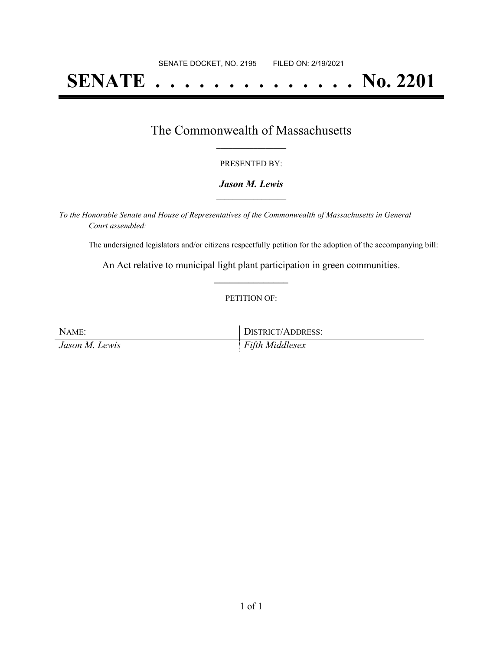# **SENATE . . . . . . . . . . . . . . No. 2201**

### The Commonwealth of Massachusetts **\_\_\_\_\_\_\_\_\_\_\_\_\_\_\_\_\_**

#### PRESENTED BY:

#### *Jason M. Lewis* **\_\_\_\_\_\_\_\_\_\_\_\_\_\_\_\_\_**

*To the Honorable Senate and House of Representatives of the Commonwealth of Massachusetts in General Court assembled:*

The undersigned legislators and/or citizens respectfully petition for the adoption of the accompanying bill:

An Act relative to municipal light plant participation in green communities. **\_\_\_\_\_\_\_\_\_\_\_\_\_\_\_**

#### PETITION OF:

| NAME:          | DISTRICT/ADDRESS: |
|----------------|-------------------|
| Jason M. Lewis | Fifth Middlesex   |